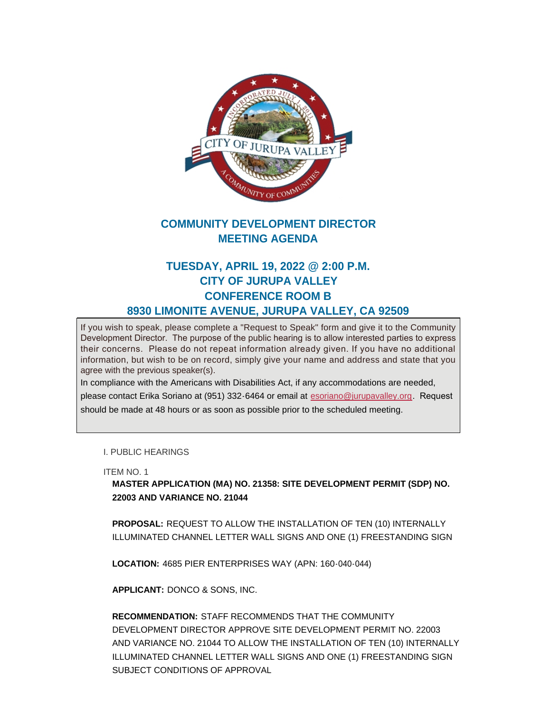

## **COMMUNITY DEVELOPMENT DIRECTOR MEETING AGENDA**

## **TUESDAY, APRIL 19, 2022 @ 2:00 P.M. CITY OF JURUPA VALLEY CONFERENCE ROOM B 8930 LIMONITE AVENUE, JURUPA VALLEY, CA 92509**

If you wish to speak, please complete a "Request to Speak" form and give it to the Community Development Director. The purpose of the public hearing is to allow interested parties to express their concerns. Please do not repeat information already given. If you have no additional information, but wish to be on record, simply give your name and address and state that you agree with the previous speaker(s).

In compliance with the Americans with Disabilities Act, if any accommodations are needed, please contact Erika Soriano at (951) 332-6464 or email at [esoriano@jurupavalley.org](mailto:esoriano@jurupavalley.org). Request should be made at 48 hours or as soon as possible prior to the scheduled meeting.

I. PUBLIC HEARINGS

ITEM NO. 1

**MASTER APPLICATION (MA) NO. 21358: SITE DEVELOPMENT PERMIT (SDP) NO. 22003 AND VARIANCE NO. 21044**

**PROPOSAL:** REQUEST TO ALLOW THE INSTALLATION OF TEN (10) INTERNALLY ILLUMINATED CHANNEL LETTER WALL SIGNS AND ONE (1) FREESTANDING SIGN

**LOCATION:** 4685 PIER ENTERPRISES WAY (APN: 160-040-044)

**APPLICANT:** DONCO & SONS, INC.

**RECOMMENDATION:** STAFF RECOMMENDS THAT THE COMMUNITY DEVELOPMENT DIRECTOR APPROVE SITE DEVELOPMENT PERMIT NO. 22003 AND VARIANCE NO. 21044 TO ALLOW THE INSTALLATION OF TEN (10) INTERNALLY ILLUMINATED CHANNEL LETTER WALL SIGNS AND ONE (1) FREESTANDING SIGN SUBJECT CONDITIONS OF APPROVAL